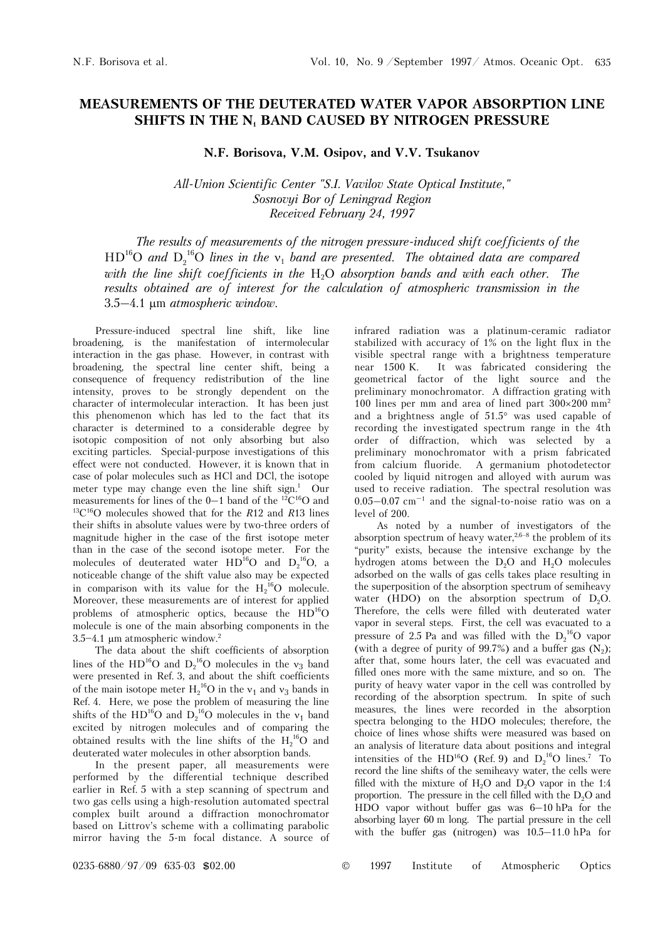## **MEASUREMENTS OF THE DEUTERATED WATER VAPOR ABSORPTION LINE SHIFTS IN THE N<sub>1</sub> BAND CAUSED BY NITROGEN PRESSURE**

**N.F. Borisova, V.M. Osipov, and V.V. Tsukanov** 

*All-Union Scientific Center "S.I. Vavilov State Optical Institute*,*" Sosnovyi Bor of Leningrad Region Received February 24, 1997* 

*The results of measurements of the nitrogen pressure-induced shift coefficients of the*   $HD<sup>16</sup>O$  and  $D_2<sup>16</sup>O$  lines in the  $v_1$  band are presented. The obtained data are compared with the line shift coefficients in the H<sub>2</sub>O absorption bands and with each other. The *results obtained are of interest for the calculation of atmospheric transmission in the*  3.5–4.1 μm *atmospheric window.*

Pressure-induced spectral line shift, like line broadening, is the manifestation of intermolecular interaction in the gas phase. However, in contrast with broadening, the spectral line center shift, being a consequence of frequency redistribution of the line intensity, proves to be strongly dependent on the character of intermolecular interaction. It has been just this phenomenon which has led to the fact that its character is determined to a considerable degree by isotopic composition of not only absorbing but also exciting particles. Special-purpose investigations of this effect were not conducted. However, it is known that in case of polar molecules such as HCl and DCl, the isotope meter type may change even the line shift sign.<sup>1</sup> Our measurements for lines of the 0–1 band of the 12C16O and 13C16O molecules showed that for the *R*12 and *R*13 lines their shifts in absolute values were by two-three orders of magnitude higher in the case of the first isotope meter than in the case of the second isotope meter. For the molecules of deuterated water  $HD^{16}O$  and  $D_2^{16}O$ , a noticeable change of the shift value also may be expected in comparison with its value for the  $H_2^{16}O$  molecule. Moreover, these measurements are of interest for applied problems of atmospheric optics, because the  $HD^{16}O$ molecule is one of the main absorbing components in the  $3.5 - 4.1$  μm atmospheric window.<sup>2</sup>

The data about the shift coefficients of absorption lines of the  $HD^{16}O$  and  $D_2^{16}O$  molecules in the  $v_3$  band were presented in Ref. 3, and about the shift coefficients of the main isotope meter  $H_2^{16}O$  in the  $v_1$  and  $v_3$  bands in Ref. 4. Here, we pose the problem of measuring the line shifts of the HD<sup>16</sup>O and  $D_2$ <sup>16</sup>O molecules in the  $v_1$  band excited by nitrogen molecules and of comparing the obtained results with the line shifts of the  $H_2^{16}O$  and deuterated water molecules in other absorption bands.

In the present paper, all measurements were performed by the differential technique described earlier in Ref. 5 with a step scanning of spectrum and two gas cells using a high-resolution automated spectral complex built around a diffraction monochromator based on Littrov's scheme with a collimating parabolic mirror having the 5-m focal distance. A source of infrared radiation was a platinum-ceramic radiator stabilized with accuracy of 1% on the light flux in the visible spectral range with a brightness temperature near 1500 K. It was fabricated considering the geometrical factor of the light source and the preliminary monochromator. A diffraction grating with 100 lines per mm and area of lined part  $300 \times 200$  mm<sup>2</sup> and a brightness angle of 51.5° was used capable of recording the investigated spectrum range in the 4th order of diffraction, which was selected by a preliminary monochromator with a prism fabricated from calcium fluoride. A germanium photodetector cooled by liquid nitrogen and alloyed with aurum was used to receive radiation. The spectral resolution was  $0.05-0.07$   $cm^{-1}$  and the signal-to-noise ratio was on a level of 200.

As noted by a number of investigators of the absorption spectrum of heavy water,<sup>2,6–8</sup> the problem of its "purity" exists, because the intensive exchange by the hydrogen atoms between the  $D_2O$  and  $H_2O$  molecules adsorbed on the walls of gas cells takes place resulting in the superposition of the absorption spectrum of semiheavy water (HDO) on the absorption spectrum of  $D_2O$ . Therefore, the cells were filled with deuterated water vapor in several steps. First, the cell was evacuated to a pressure of 2.5 Pa and was filled with the  $D_2^{\{16}O}$  vapor (with a degree of purity of 99.7%) and a buffer gas  $(N_2)$ ; after that, some hours later, the cell was evacuated and filled ones more with the same mixture, and so on. The purity of heavy water vapor in the cell was controlled by recording of the absorption spectrum. In spite of such measures, the lines were recorded in the absorption spectra belonging to the HDO molecules; therefore, the choice of lines whose shifts were measured was based on an analysis of literature data about positions and integral intensities of the HD<sup>16</sup>O (Ref. 9) and  $D_2^{\ 16}O$  lines.<sup>7</sup> To record the line shifts of the semiheavy water, the cells were filled with the mixture of  $H_2O$  and  $D_2O$  vapor in the 1:4 proportion. The pressure in the cell filled with the  $D_2O$  and HDO vapor without buffer gas was 6–10 hPa for the absorbing layer 60 m long. The partial pressure in the cell with the buffer gas (nitrogen) was 10.5–11.0 hPa for

0235-6880/97/09 635-03 \$02.00 © 1997 Institute of Atmospheric Optics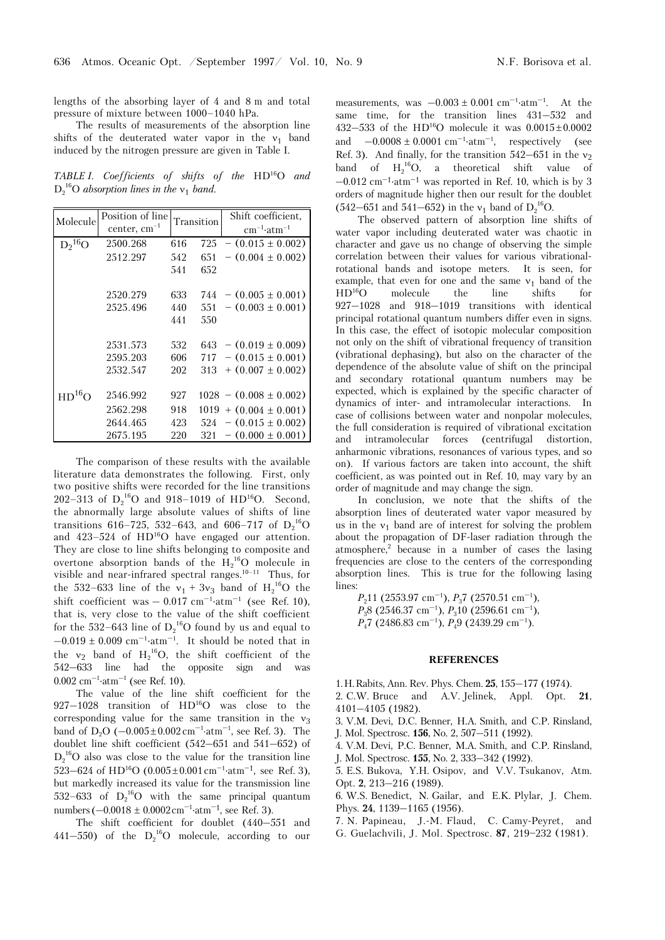lengths of the absorbing layer of 4 and 8 m and total pressure of mixture between 1000–1040 hPa.

The results of measurements of the absorption line shifts of the deuterated water vapor in the  $v_1$  band induced by the nitrogen pressure are given in Table I.

*TABLE I. Coefficients of shifts of the* HD16O *and*  $D_2$ <sup>16</sup>O *absorption lines in the*  $v_1$  *band.* 

| Molecule              | Position of line<br>center, $cm^{-1}$ |     | Transition | Shift coefficient,<br>$cm^{-1}$ at m <sup>-1</sup> |
|-----------------------|---------------------------------------|-----|------------|----------------------------------------------------|
| $D_2$ <sup>16</sup> O | 2500.268                              | 616 | 725        | $-$ (0.015 $\pm$ 0.002)                            |
|                       | 2512.297                              | 542 | 651        | $-$ (0.004 $\pm$ 0.002)                            |
|                       |                                       | 541 | 652        |                                                    |
|                       | 2520.279                              | 633 | 744 -      | $-$ (0.005 $\pm$ 0.001)                            |
|                       | 2525.496                              | 440 | 551        | $-(0.003 \pm 0.001)$                               |
|                       |                                       | 441 | 550        |                                                    |
|                       | 2531.573                              | 532 |            | $643 - (0.019 \pm 0.009)$                          |
|                       | 2595.203                              | 606 | 717        | $-$ (0.015 $\pm$ 0.001)                            |
|                       | 2532.547                              | 202 | 313        | $+$ (0.007 $\pm$ 0.002)                            |
| $HD^{16}O$            | 2546.992                              | 927 |            | $1028 - (0.008 \pm 0.002)$                         |
|                       | 2562.298                              | 918 |            | $1019 + (0.004 \pm 0.001)$                         |
|                       | 2644.465                              | 423 | 524        | $-$ (0.015 $\pm$ 0.002)                            |
|                       | 2675.195                              | 220 | 321        | $-$ (0.000 $\pm$ 0.001)                            |

The comparison of these results with the available literature data demonstrates the following. First, only two positive shifts were recorded for the line transitions 202–313 of  $D_2^{16}O$  and 918–1019 of HD<sup>16</sup>O. Second, the abnormally large absolute values of shifts of line transitions 616–725, 532–643, and 606–717 of  $D_2^{\ 16}O$ and  $423-524$  of  $HD<sup>16</sup>O$  have engaged our attention. They are close to line shifts belonging to composite and overtone absorption bands of the  $H_2^{16}O$  molecule in visible and near-infrared spectral ranges.<sup>10–11</sup> Thus, for the 532–633 line of the  $v_1 + 3v_3$  band of  $H_2^{16}O$  the shift coefficient was  $-0.017$  cm<sup>-1</sup>·atm<sup>-1</sup> (see Ref. 10), that is, very close to the value of the shift coefficient for the 532–643 line of  $D_2^{\ 16}O$  found by us and equal to  $-0.019 \pm 0.009$  cm<sup>-1</sup>·atm<sup>-1</sup>. It should be noted that in the  $v_2$  band of  $H_2^{16}O$ , the shift coefficient of the 542–633 line had the opposite sign and was  $0.002 \text{ cm}^{-1} \cdot \text{atm}^{-1}$  (see Ref. 10).

The value of the line shift coefficient for the 927–1028 transition of HD16O was close to the corresponding value for the same transition in the  $v_3$ band of  $D_2O$  (-0.005±0.002 cm<sup>-1</sup>·atm<sup>-1</sup>, see Ref. 3). The doublet line shift coefficient (542–651 and 541–652) of  $D_2^{16}$ O also was close to the value for the transition line  $523-624$  of HD<sup>16</sup>O (0.005±0.001 cm<sup>-1</sup>·atm<sup>-1</sup>, see Ref. 3), but markedly increased its value for the transmission line 532–633 of  $D_2^{16}O$  with the same principal quantum numbers  $(-0.0018 \pm 0.0002 \text{ cm}^{-1} \cdot \text{atm}^{-1})$ , see Ref. 3).

The shift coefficient for doublet (440–551 and 441–550) of the  $D_2^{16}O$  molecule, according to our

measurements, was  $-0.003 \pm 0.001$  cm<sup>-1</sup>·atm<sup>-1</sup>. At the same time, for the transition lines 431–532 and 432–533 of the HD<sup>16</sup>O molecule it was  $0.0015 \pm 0.0002$ and  $-0.0008 \pm 0.0001$  cm<sup>-1</sup>·atm<sup>-1</sup>, respectively (see Ref. 3). And finally, for the transition  $542-651$  in the  $v_2$ band of  $H_2^{16}O$ , a theoretical shift value of  $-0.012$  cm<sup>-1</sup>⋅atm<sup>-1</sup> was reported in Ref. 10, which is by 3 orders of magnitude higher then our result for the doublet  $(542-651$  and  $541-652)$  in the  $v_1$  band of  $D_2^{16}O$ .

The observed pattern of absorption line shifts of water vapor including deuterated water was chaotic in character and gave us no change of observing the simple correlation between their values for various vibrationalrotational bands and isotope meters. It is seen, for example, that even for one and the same  $v_1$  band of the HD<sup>16</sup>O molecule the line shifts for molecule the line shifts for 927–1028 and 918–1019 transitions with identical principal rotational quantum numbers differ even in signs. In this case, the effect of isotopic molecular composition not only on the shift of vibrational frequency of transition (vibrational dephasing), but also on the character of the dependence of the absolute value of shift on the principal and secondary rotational quantum numbers may be expected, which is explained by the specific character of dynamics of inter- and intramolecular interactions. In case of collisions between water and nonpolar molecules, the full consideration is required of vibrational excitation and intramolecular forces (centrifugal distortion, anharmonic vibrations, resonances of various types, and so on). If various factors are taken into account, the shift coefficient, as was pointed out in Ref. 10, may vary by an order of magnitude and may change the sign.

In conclusion, we note that the shifts of the absorption lines of deuterated water vapor measured by us in the  $v_1$  band are of interest for solving the problem about the propagation of DF-laser radiation through the atmosphere, $2$  because in a number of cases the lasing frequencies are close to the centers of the corresponding absorption lines. This is true for the following lasing lines:

*P*<sub>2</sub>11 (2553.97 cm<sup>-1</sup>), *P*<sub>3</sub>7 (2570.51 cm<sup>-1</sup>), *P*<sub>3</sub>8 (2546.37 cm<sup>-1</sup>), *P*<sub>3</sub>10 (2596.61 cm<sup>-1</sup>), *P*<sub>4</sub>7 (2486.83 cm<sup>-1</sup>), *P*<sub>4</sub>9 (2439.29 cm<sup>-1</sup>).

## **REFERENCES**

1.H.Rabits, Ann. Rev. Phys. Chem. **25**, 155–177 (1974).

2. C.W. Bruce and A.V. Jelinek, Appl. Opt. **21**, 4101–4105 (1982).

3. V.M. Devi, D.C. Benner, H.A. Smith, and C.P. Rinsland, J. Mol. Spectrosc. **156**, No. 2, 507–511 (1992).

4. V.M. Devi, P.C. Benner, M.A. Smith, and C.P. Rinsland,

J. Mol. Spectrosc. **155**, No. 2, 333–342 (1992).

5. E.S. Bukova, Y.H. Osipov, and V.V. Tsukanov, Atm. Opt. **2**, 213–216 (1989).

6. W.S. Benedict, N. Gailar, and E.K. Plylar, J. Chem. Phys. **24**, 1139–1165 (1956).

7. N. Papineau, J.-M. Flaud, C. Camy-Peyret, and

G. Guelachvili, J. Mol. Spectrosc. 87, 219-232 (1981).